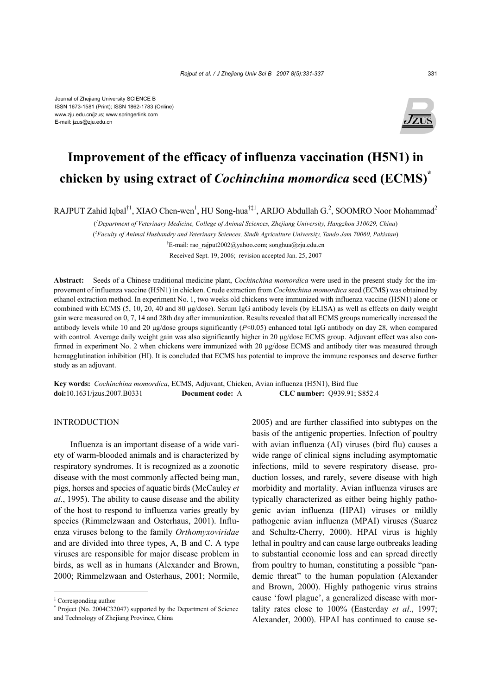

# **Improvement of the efficacy of influenza vaccination (H5N1) in chicken by using extract of** *Cochinchina momordica* **seed (ECMS)\***

RAJPUT Zahid Iqbal<sup>†1</sup>, XIAO Chen-wen<sup>1</sup>, HU Song-hua<sup>†‡1</sup>, ARIJO Abdullah G.<sup>2</sup>, SOOMRO Noor Mohammad<sup>2</sup>

( *1 Department of Veterinary Medicine, College of Animal Sciences, Zhejiang University, Hangzhou 310029, China*)

( *2 Faculty of Animal Husbandry and Veterinary Sciences, Sindh Agriculture University, Tando Jam 70060, Pakistan*)

† E-mail: rao\_rajput2002@yahoo.com; songhua@zju.edu.cn

Received Sept. 19, 2006; revision accepted Jan. 25, 2007

**Abstract:** Seeds of a Chinese traditional medicine plant, *Cochinchina momordica* were used in the present study for the improvement of influenza vaccine (H5N1) in chicken. Crude extraction from *Cochinchina momordica* seed (ECMS) was obtained by ethanol extraction method. In experiment No. 1, two weeks old chickens were immunized with influenza vaccine (H5N1) alone or combined with ECMS (5, 10, 20, 40 and 80 µg/dose). Serum IgG antibody levels (by ELISA) as well as effects on daily weight gain were measured on 0, 7, 14 and 28th day after immunization. Results revealed that all ECMS groups numerically increased the antibody levels while 10 and 20  $\mu$ g/dose groups significantly ( $P<0.05$ ) enhanced total IgG antibody on day 28, when compared with control. Average daily weight gain was also significantly higher in 20 µg/dose ECMS group. Adjuvant effect was also confirmed in experiment No. 2 when chickens were immunized with 20 µg/dose ECMS and antibody titer was measured through hemagglutination inhibition (HI). It is concluded that ECMS has potential to improve the immune responses and deserve further study as an adjuvant.

**Key words:** *Cochinchina momordica*, ECMS, Adjuvant, Chicken, Avian influenza (H5N1), Bird flue **doi:**10.1631/jzus.2007.B0331 **Document code:** A **CLC number:** Q939.91; S852.4

# **INTRODUCTION**

Influenza is an important disease of a wide variety of warm-blooded animals and is characterized by respiratory syndromes. It is recognized as a zoonotic disease with the most commonly affected being man, pigs, horses and species of aquatic birds (McCauley *et al*., 1995). The ability to cause disease and the ability of the host to respond to influenza varies greatly by species (Rimmelzwaan and Osterhaus, 2001). Influenza viruses belong to the family *Orthomyxoviridae* and are divided into three types, A, B and C. A type viruses are responsible for major disease problem in birds, as well as in humans (Alexander and Brown, 2000; Rimmelzwaan and Osterhaus, 2001; Normile,

2005) and are further classified into subtypes on the basis of the antigenic properties. Infection of poultry with avian influenza (AI) viruses (bird flu) causes a wide range of clinical signs including asymptomatic infections, mild to severe respiratory disease, production losses, and rarely, severe disease with high morbidity and mortality. Avian influenza viruses are typically characterized as either being highly pathogenic avian influenza (HPAI) viruses or mildly pathogenic avian influenza (MPAI) viruses (Suarez and Schultz-Cherry, 2000). HPAI virus is highly lethal in poultry and can cause large outbreaks leading to substantial economic loss and can spread directly from poultry to human, constituting a possible "pandemic threat" to the human population (Alexander and Brown, 2000). Highly pathogenic virus strains cause 'fowl plague', a generalized disease with mortality rates close to 100% (Easterday *et al*., 1997; Alexander, 2000). HPAI has continued to cause se-

<sup>‡</sup> Corresponding author

<sup>\*</sup> Project (No. 2004C32047) supported by the Department of Science and Technology of Zhejiang Province, China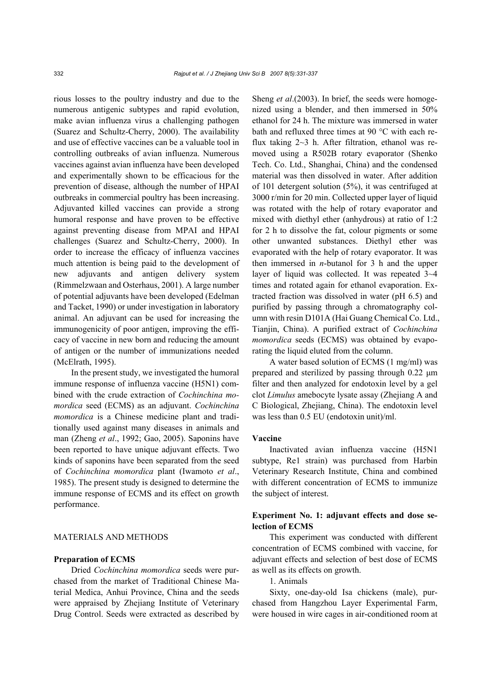rious losses to the poultry industry and due to the numerous antigenic subtypes and rapid evolution, make avian influenza virus a challenging pathogen (Suarez and Schultz-Cherry, 2000). The availability and use of effective vaccines can be a valuable tool in controlling outbreaks of avian influenza. Numerous vaccines against avian influenza have been developed and experimentally shown to be efficacious for the prevention of disease, although the number of HPAI outbreaks in commercial poultry has been increasing. Adjuvanted killed vaccines can provide a strong humoral response and have proven to be effective against preventing disease from MPAI and HPAI challenges (Suarez and Schultz-Cherry, 2000). In order to increase the efficacy of influenza vaccines much attention is being paid to the development of new adjuvants and antigen delivery system (Rimmelzwaan and Osterhaus, 2001). A large number of potential adjuvants have been developed (Edelman and Tacket, 1990) or under investigation in laboratory animal. An adjuvant can be used for increasing the immunogenicity of poor antigen, improving the efficacy of vaccine in new born and reducing the amount of antigen or the number of immunizations needed (McElrath, 1995).

In the present study, we investigated the humoral immune response of influenza vaccine (H5N1) combined with the crude extraction of *Cochinchina momordica* seed (ECMS) as an adjuvant. *Cochinchina momordica* is a Chinese medicine plant and traditionally used against many diseases in animals and man (Zheng *et al*., 1992; Gao, 2005). Saponins have been reported to have unique adjuvant effects. Two kinds of saponins have been separated from the seed of *Cochinchina momordica* plant (Iwamoto *et al*., 1985). The present study is designed to determine the immune response of ECMS and its effect on growth performance.

## MATERIALS AND METHODS

#### **Preparation of ECMS**

Dried *Cochinchina momordica* seeds were purchased from the market of Traditional Chinese Material Medica, Anhui Province, China and the seeds were appraised by Zhejiang Institute of Veterinary Drug Control. Seeds were extracted as described by Sheng *et al*.(2003). In brief, the seeds were homogenized using a blender, and then immersed in 50% ethanol for 24 h. The mixture was immersed in water bath and refluxed three times at 90 °C with each reflux taking 2~3 h. After filtration, ethanol was removed using a R502B rotary evaporator (Shenko Tech. Co. Ltd., Shanghai, China) and the condensed material was then dissolved in water. After addition of 101 detergent solution (5%), it was centrifuged at 3000 r/min for 20 min. Collected upper layer of liquid was rotated with the help of rotary evaporator and mixed with diethyl ether (anhydrous) at ratio of 1:2 for 2 h to dissolve the fat, colour pigments or some other unwanted substances. Diethyl ether was evaporated with the help of rotary evaporator. It was then immersed in *n*-butanol for 3 h and the upper layer of liquid was collected. It was repeated 3~4 times and rotated again for ethanol evaporation. Extracted fraction was dissolved in water (pH 6.5) and purified by passing through a chromatography column with resin D101A (Hai Guang Chemical Co. Ltd., Tianjin, China). A purified extract of *Cochinchina momordica* seeds (ECMS) was obtained by evaporating the liquid eluted from the column.

A water based solution of ECMS (1 mg/ml) was prepared and sterilized by passing through 0.22 µm filter and then analyzed for endotoxin level by a gel clot *Limulus* amebocyte lysate assay (Zhejiang A and C Biological, Zhejiang, China). The endotoxin level was less than 0.5 EU (endotoxin unit)/ml.

## **Vaccine**

Inactivated avian influenza vaccine (H5N1 subtype, Re1 strain) was purchased from Harbin Veterinary Research Institute, China and combined with different concentration of ECMS to immunize the subject of interest.

# **Experiment No. 1: adjuvant effects and dose selection of ECMS**

This experiment was conducted with different concentration of ECMS combined with vaccine, for adjuvant effects and selection of best dose of ECMS as well as its effects on growth.

## 1. Animals

Sixty, one-day-old Isa chickens (male), purchased from Hangzhou Layer Experimental Farm, were housed in wire cages in air-conditioned room at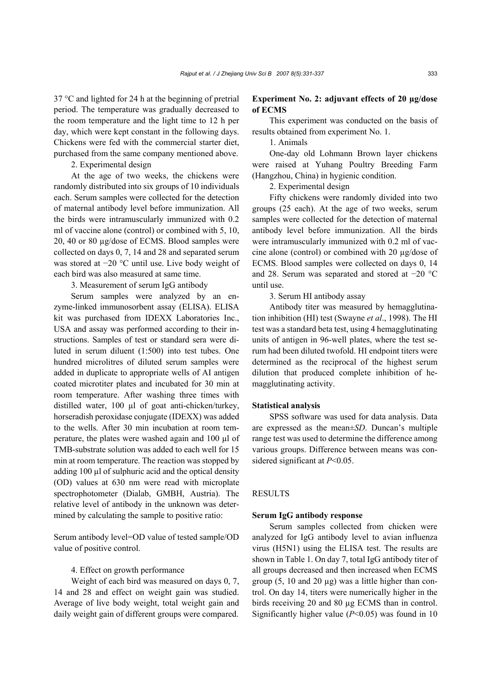37 °C and lighted for 24 h at the beginning of pretrial period. The temperature was gradually decreased to the room temperature and the light time to 12 h per day, which were kept constant in the following days. Chickens were fed with the commercial starter diet, purchased from the same company mentioned above.

2. Experimental design

At the age of two weeks, the chickens were randomly distributed into six groups of 10 individuals each. Serum samples were collected for the detection of maternal antibody level before immunization. All the birds were intramuscularly immunized with 0.2 ml of vaccine alone (control) or combined with 5, 10, 20, 40 or 80 µg/dose of ECMS. Blood samples were collected on days 0, 7, 14 and 28 and separated serum was stored at −20 °C until use. Live body weight of each bird was also measured at same time.

3. Measurement of serum IgG antibody

Serum samples were analyzed by an enzyme-linked immunosorbent assay (ELISA). ELISA kit was purchased from IDEXX Laboratories Inc., USA and assay was performed according to their instructions. Samples of test or standard sera were diluted in serum diluent (1:500) into test tubes. One hundred microlitres of diluted serum samples were added in duplicate to appropriate wells of AI antigen coated microtiter plates and incubated for 30 min at room temperature. After washing three times with distilled water, 100 µl of goat anti-chicken/turkey, horseradish peroxidase conjugate (IDEXX) was added to the wells. After 30 min incubation at room temperature, the plates were washed again and 100 µl of TMB-substrate solution was added to each well for 15 min at room temperature. The reaction was stopped by adding  $100 \mu l$  of sulphuric acid and the optical density (OD) values at 630 nm were read with microplate spectrophotometer (Dialab, GMBH, Austria). The relative level of antibody in the unknown was determined by calculating the sample to positive ratio:

Serum antibody level=OD value of tested sample/OD value of positive control.

## 4. Effect on growth performance

Weight of each bird was measured on days 0, 7, 14 and 28 and effect on weight gain was studied. Average of live body weight, total weight gain and daily weight gain of different groups were compared.

# **Experiment No. 2: adjuvant effects of 20 µg/dose of ECMS**

This experiment was conducted on the basis of results obtained from experiment No. 1.

1. Animals

One-day old Lohmann Brown layer chickens were raised at Yuhang Poultry Breeding Farm (Hangzhou, China) in hygienic condition.

2. Experimental design

Fifty chickens were randomly divided into two groups (25 each). At the age of two weeks, serum samples were collected for the detection of maternal antibody level before immunization. All the birds were intramuscularly immunized with 0.2 ml of vaccine alone (control) or combined with 20 µg/dose of ECMS. Blood samples were collected on days 0, 14 and 28. Serum was separated and stored at −20 °C until use.

3. Serum HI antibody assay

Antibody titer was measured by hemagglutination inhibition (HI) test (Swayne *et al*., 1998). The HI test was a standard beta test, using 4 hemagglutinating units of antigen in 96-well plates, where the test serum had been diluted twofold. HI endpoint titers were determined as the reciprocal of the highest serum dilution that produced complete inhibition of hemagglutinating activity.

#### **Statistical analysis**

SPSS software was used for data analysis. Data are expressed as the mean±*SD*. Duncan's multiple range test was used to determine the difference among various groups. Difference between means was considered significant at *P*<0.05.

## **RESULTS**

#### **Serum IgG antibody response**

Serum samples collected from chicken were analyzed for IgG antibody level to avian influenza virus (H5N1) using the ELISA test. The results are shown in Table 1. On day 7, total IgG antibody titer of all groups decreased and then increased when ECMS group  $(5, 10 \text{ and } 20 \text{ µg})$  was a little higher than control. On day 14, titers were numerically higher in the birds receiving 20 and 80 µg ECMS than in control. Significantly higher value (*P*<0.05) was found in 10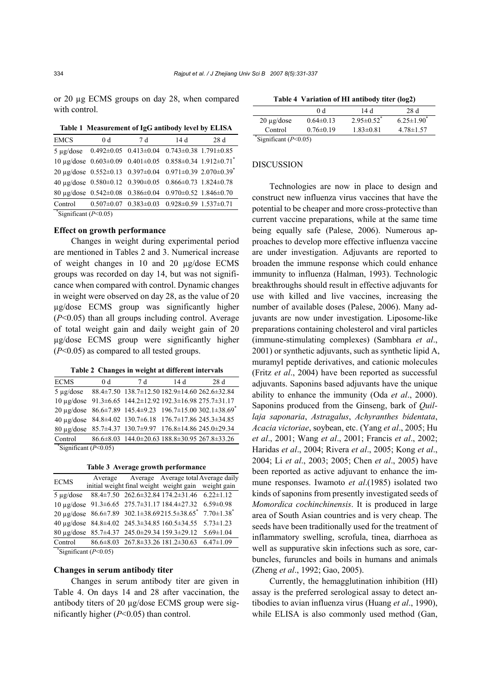or 20 µg ECMS groups on day 28, when compared with control.

| Table 1 Measurement of IgG antibody level by ELISA |  |
|----------------------------------------------------|--|
|                                                    |  |

| <b>EMCS</b>                             | 0 <sub>d</sub> | 7 d                                                                                         | 14 d | 28 d |
|-----------------------------------------|----------------|---------------------------------------------------------------------------------------------|------|------|
|                                         |                | $5 \mu$ g/dose 0.492±0.05 0.413±0.04 0.743±0.38 1.791±0.85                                  |      |      |
|                                         |                | 10 µg/dose $0.603 \pm 0.09$ $0.401 \pm 0.05$ $0.858 \pm 0.34$ 1.912 $\pm 0.71$ <sup>*</sup> |      |      |
|                                         |                | 20 $\mu$ g/dose 0.552±0.13 0.397±0.04 0.971±0.39 2.070±0.39 <sup>*</sup>                    |      |      |
|                                         |                | 40 µg/dose $0.580 \pm 0.12$ $0.390 \pm 0.05$ $0.866 \pm 0.73$ $1.824 \pm 0.78$              |      |      |
|                                         |                | 80 µg/dose $0.542 \pm 0.08$ $0.386 \pm 0.04$ $0.970 \pm 0.52$ 1.846 $\pm 0.70$              |      |      |
|                                         |                | Control $0.507 \pm 0.07$ $0.383 \pm 0.03$ $0.928 \pm 0.59$ $1.537 \pm 0.71$                 |      |      |
| $\sqrt{\text{Significant}(P\leq 0.05)}$ |                |                                                                                             |      |      |

# **Effect on growth performance**

Changes in weight during experimental period are mentioned in Tables 2 and 3. Numerical increase of weight changes in 10 and 20 µg/dose ECMS groups was recorded on day 14, but was not significance when compared with control. Dynamic changes in weight were observed on day 28, as the value of 20 µg/dose ECMS group was significantly higher (*P*<0.05) than all groups including control. Average of total weight gain and daily weight gain of 20 µg/dose ECMS group were significantly higher (*P*<0.05) as compared to all tested groups.

| Table 2 Changes in weight at different intervals |  |  |
|--------------------------------------------------|--|--|
|                                                  |  |  |

| <b>ECMS</b>                             | 0 <sub>d</sub> | 7 d                                                                           | 14 d | 28d                                                                  |
|-----------------------------------------|----------------|-------------------------------------------------------------------------------|------|----------------------------------------------------------------------|
|                                         |                | 5 µg/dose 88.4±7.50 138.7±12.50 182.9±14.60 262.6±32.84                       |      |                                                                      |
|                                         |                | $10 \mu$ g/dose 91.3±6.65 144.2±12.92 192.3±16.98 275.7±31.17                 |      |                                                                      |
|                                         |                |                                                                               |      | 20 µg/dose 86.6±7.89 145.4±9.23 196.7±15.00 302.1±38.69 <sup>*</sup> |
|                                         |                | 40 µg/dose 84.8±4.02 130.7±6.18 176.7±17.86 245.3±34.85                       |      |                                                                      |
|                                         |                | 80 µg/dose 85.7±4.37 130.7±9.97 176.8±14.86 245.0±29.34                       |      |                                                                      |
|                                         |                | Control $86.6 \pm 8.03$ 144.0 $\pm 20.63$ 188.8 $\pm 30.95$ 267.8 $\pm 33.26$ |      |                                                                      |
| $\sqrt{\text{Significant}(P\leq 0.05)}$ |                |                                                                               |      |                                                                      |

**Table 3 Average growth performance** 

| <b>ECMS</b> | Average Average Average total Average daily                                 |  |
|-------------|-----------------------------------------------------------------------------|--|
|             | initial weight final weight weight gain weight gain                         |  |
|             | $5 \mu$ g/dose 88.4±7.50 262.6±32.84 174.2±31.46 6.22±1.12                  |  |
|             | 10 μg/dose 91.3±6.65 275.7±31.17 184.4±27.32 6.59±0.98                      |  |
|             | 20 µg/dose $86.6\pm7.89$ 302.1 $\pm38.69215.5\pm38.65$ $7.70\pm1.38$        |  |
|             | 40 µg/dose 84.8±4.02 245.3±34.85 160.5±34.55 5.73±1.23                      |  |
|             | 80 µg/dose 85.7±4.37 245.0±29.34 159.3±29.12 5.69±1.04                      |  |
|             | Control $86.6 \pm 8.03$ $267.8 \pm 33.26$ $181.2 \pm 30.63$ $6.47 \pm 1.09$ |  |

\* Significant (*P*<0.05)

#### **Changes in serum antibody titer**

Changes in serum antibody titer are given in Table 4. On days 14 and 28 after vaccination, the antibody titers of 20 µg/dose ECMS group were significantly higher (*P*<0.05) than control.

|                         | 0 d             | 14 d                         | 28 d            |  |
|-------------------------|-----------------|------------------------------|-----------------|--|
| $20 \mu$ g/dose         | $0.64\pm0.13$   | $2.95 \pm 0.52$ <sup>*</sup> | $6.25 \pm 1.90$ |  |
| Control                 | $0.76 \pm 0.19$ | $1.83 \pm 0.81$              | $4.78 \pm 1.57$ |  |
| *Significant $(P<0.05)$ |                 |                              |                 |  |

#### DISCUSSION

Technologies are now in place to design and construct new influenza virus vaccines that have the potential to be cheaper and more cross-protective than current vaccine preparations, while at the same time being equally safe (Palese, 2006). Numerous approaches to develop more effective influenza vaccine are under investigation. Adjuvants are reported to broaden the immune response which could enhance immunity to influenza (Halman, 1993). Technologic breakthroughs should result in effective adjuvants for use with killed and live vaccines, increasing the number of available doses (Palese, 2006). Many adjuvants are now under investigation. Liposome-like preparations containing cholesterol and viral particles (immune-stimulating complexes) (Sambhara *et al*., 2001) or synthetic adjuvants, such as synthetic lipid A, muramyl peptide derivatives, and cationic molecules (Fritz *et al*., 2004) have been reported as successful adjuvants. Saponins based adjuvants have the unique ability to enhance the immunity (Oda *et al*., 2000). Saponins produced from the Ginseng, bark of *Quillaja saponaria*, *Astragalus*, *Achyranthes bidentata*, *Acacia victoriae*, soybean, etc. (Yang *et al*., 2005; Hu *et al*., 2001; Wang *et al*., 2001; Francis *et al*., 2002; Haridas *et al*., 2004; Rivera *et al*., 2005; Kong *et al*., 2004; Li *et al*., 2003; 2005; Chen *et al*., 2005) have been reported as active adjuvant to enhance the immune responses. Iwamoto *et al*.(1985) isolated two kinds of saponins from presently investigated seeds of *Momordica cochinchinensis*. It is produced in large area of South Asian countries and is very cheap. The seeds have been traditionally used for the treatment of inflammatory swelling, scrofula, tinea, diarrhoea as well as suppurative skin infections such as sore, carbuncles, furuncles and boils in humans and animals (Zheng *et al*., 1992; Gao, 2005).

Currently, the hemagglutination inhibition (HI) assay is the preferred serological assay to detect antibodies to avian influenza virus (Huang *et al*., 1990), while ELISA is also commonly used method (Gan,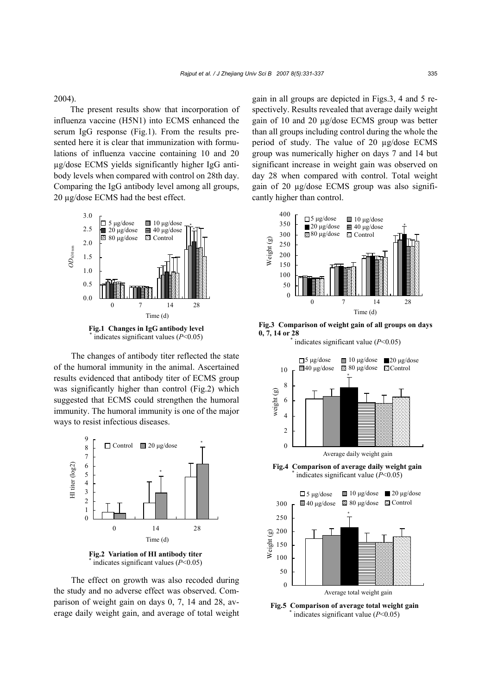2004).

The present results show that incorporation of influenza vaccine (H5N1) into ECMS enhanced the serum IgG response (Fig.1). From the results presented here it is clear that immunization with formulations of influenza vaccine containing 10 and 20 µg/dose ECMS yields significantly higher IgG antibody levels when compared with control on 28th day. Comparing the IgG antibody level among all groups, 20 µg/dose ECMS had the best effect.





The changes of antibody titer reflected the state of the humoral immunity in the animal. Ascertained results evidenced that antibody titer of ECMS group was significantly higher than control (Fig.2) which suggested that ECMS could strengthen the humoral immunity. The humoral immunity is one of the major ways to resist infectious diseases.



**Fig.2 Variation of HI antibody titer**  \* indicates significant values (*P*<0.05)

The effect on growth was also recoded during the study and no adverse effect was observed. Comparison of weight gain on days 0, 7, 14 and 28, average daily weight gain, and average of total weight gain in all groups are depicted in Figs.3, 4 and 5 respectively. Results revealed that average daily weight gain of 10 and 20 µg/dose ECMS group was better than all groups including control during the whole the period of study. The value of 20 µg/dose ECMS group was numerically higher on days 7 and 14 but significant increase in weight gain was observed on day 28 when compared with control. Total weight gain of 20 µg/dose ECMS group was also significantly higher than control.



**Fig.3 Comparison of weight gain of all groups on days 0, 7, 14 or 28** \* indicates significant value (*P*<0.05)



**Fig.4 Comparison of average daily weight gain** \* indicates significant value (*P*<0.05)



**Fig.5 Comparison of average total weight gain** \* indicates significant value (*P*<0.05)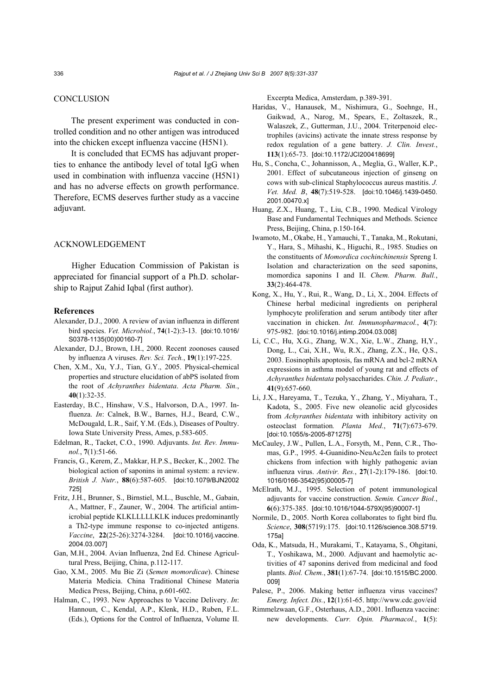## **CONCLUSION**

The present experiment was conducted in controlled condition and no other antigen was introduced into the chicken except influenza vaccine (H5N1).

It is concluded that ECMS has adjuvant properties to enhance the antibody level of total IgG when used in combination with influenza vaccine (H5N1) and has no adverse effects on growth performance. Therefore, ECMS deserves further study as a vaccine adjuvant.

## ACKNOWLEDGEMENT

Higher Education Commission of Pakistan is appreciated for financial support of a Ph.D. scholarship to Rajput Zahid Iqbal (first author).

#### **References**

- Alexander, D.J., 2000. A review of avian influenza in different bird species. *Vet. Microbiol.*, **74**(1-2):3-13. [doi:10.1016/ S0378-1135(00)00160-7]
- Alexander, D.J., Brown, I.H., 2000. Recent zoonoses caused by influenza A viruses. *Rev. Sci. Tech.*, **19**(1):197-225.
- Chen, X.M., Xu, Y.J., Tian, G.Y., 2005. Physical-chemical properties and structure elucidation of abPS isolated from the root of *Achyranthes bidentata*. *Acta Pharm. Sin.*, **40**(1):32-35.
- Easterday, B.C., Hinshaw, V.S., Halvorson, D.A., 1997. Influenza. *In*: Calnek, B.W., Barnes, H.J., Beard, C.W., McDougald, L.R., Saif, Y.M. (Eds.), Diseases of Poultry. Iowa State University Press, Ames, p.583-605.
- Edelman, R., Tacket, C.O., 1990. Adjuvants. *Int. Rev. Immunol.*, **7**(1):51-66.
- Francis, G., Kerem, Z., Makkar, H.P.S., Becker, K., 2002. The biological action of saponins in animal system: a review. *British J. Nutr.*, **88**(6):587-605. [doi:10.1079/BJN2002 725]
- Fritz, J.H., Brunner, S., Birnstiel, M.L., Buschle, M., Gabain, A., Mattner, F., Zauner, W., 2004. The artificial antimicrobial peptide KLKLLLLLKLK induces predominantly a Th2-type immune response to co-injected antigens. *Vaccine*, **22**(25-26):3274-3284. [doi:10.1016/j.vaccine. 2004.03.007]
- Gan, M.H., 2004. Avian Influenza, 2nd Ed. Chinese Agricultural Press, Beijing, China, p.112-117.
- Gao, X.M., 2005. Mu Bie Zi (*Semen momordicae*). Chinese Materia Medicia. China Traditional Chinese Materia Medica Press, Beijing, China, p.601-602.
- Halman, C., 1993. New Approaches to Vaccine Delivery. *In*: Hannoun, C., Kendal, A.P., Klenk, H.D., Ruben, F.L. (Eds.), Options for the Control of Influenza, Volume II.

Excerpta Medica, Amsterdam, p.389-391.

- Haridas, V., Hanausek, M., Nishimura, G., Soehnge, H., Gaikwad, A., Narog, M., Spears, E., Zoltaszek, R., Walaszek, Z., Gutterman, J.U., 2004. Triterpenoid electrophiles (avicins) activate the innate stress response by redox regulation of a gene battery. *J. Clin. Invest.*, **113**(1):65-73. [doi:10.1172/JCI200418699]
- Hu, S., Concha, C., Johannisson, A., Meglia, G., Waller, K.P., 2001. Effect of subcutaneous injection of ginseng on cows with sub-clinical Staphylococcus aureus mastitis. *J. Vet. Med. B*, **48**(7):519-528. [doi:10.1046/j.1439-0450. 2001.00470.x]
- Huang, Z.X., Huang, T., Liu, C.B., 1990. Medical Virology Base and Fundamental Techniques and Methods. Science Press, Beijing, China, p.150-164.
- Iwamoto, M., Okabe, H., Yamauchi, T., Tanaka, M., Rokutani, Y., Hara, S., Mihashi, K., Higuchi, R., 1985. Studies on the constituents of *Momordica cochinchinensis* Spreng I. Isolation and characterization on the seed saponins, momordica saponins I and II. *Chem. Pharm. Bull.*, **33**(2):464-478.
- Kong, X., Hu, Y., Rui, R., Wang, D., Li, X., 2004. Effects of Chinese herbal medicinal ingredients on peripheral lymphocyte proliferation and serum antibody titer after vaccination in chicken. *Int. Immunopharmacol.*, **4**(7): 975-982. [doi:10.1016/j.intimp.2004.03.008]
- Li, C.C., Hu, X.G., Zhang, W.X., Xie, L.W., Zhang, H,Y., Dong, L., Cai, X.H., Wu, R.X., Zhang, Z.X., He, Q.S., 2003. Eosinophils apoptosis, fas mRNA and bcl-2 mRNA expressions in asthma model of young rat and effects of *Achyranthes bidentata* polysaccharides. *Chin. J. Pediatr.*, **41**(9):657-660.
- Li, J.X., Hareyama, T., Tezuka, Y., Zhang, Y., Miyahara, T., Kadota, S., 2005. Five new oleanolic acid glycosides from *Achyranthes bidentata* with inhibitory activity on osteoclast formation*. Planta Med.*, **71**(7):673-679. [doi:10.1055/s-2005-871275]
- McCauley, J.W., Pullen, L.A., Forsyth, M., Penn, C.R., Thomas, G.P., 1995. 4-Guanidino-NeuAc2en fails to protect chickens from infection with highly pathogenic avian influenza virus. *Antivir. Res.*, **27**(1-2):179-186. [doi:10. 1016/0166-3542(95)00005-7]
- McElrath, M.J., 1995. Selection of potent immunological adjuvants for vaccine construction. *Semin. Cancer Biol.*, **6**(6):375-385. [doi:10.1016/1044-579X(95)90007-1]
- Normile, D., 2005. North Korea collaborates to fight bird flu. *Science*, **308**(5719):175. [doi:10.1126/science.308.5719. 175a]
- Oda, K., Matsuda, H., Murakami, T., Katayama, S., Ohgitani, T., Yoshikawa, M., 2000. Adjuvant and haemolytic activities of 47 saponins derived from medicinal and food plants. *Biol. Chem.*, **381**(1):67-74. [doi:10.1515/BC.2000. 009]
- Palese, P., 2006. Making better influenza virus vaccines? *Emerg. Infect. Dis.*, **12**(1):61-65. http://www.cdc.gov/eid
- Rimmelzwaan, G.F., Osterhaus, A.D., 2001. Influenza vaccine: new developments. *Curr. Opin. Pharmacol.*, **1**(5):